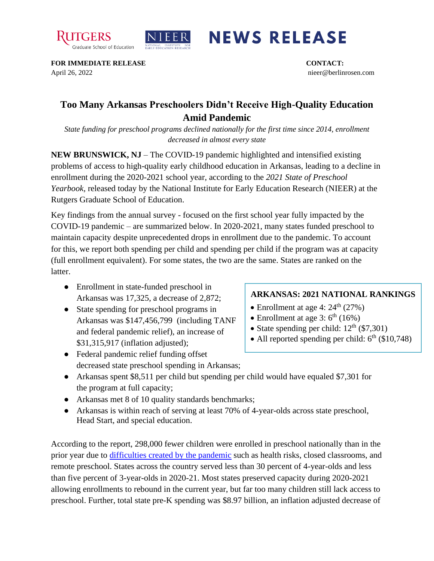



## **NEWS RELEASE**

**FOR IMMEDIATE RELEASE CONTACT:**  April 26, 2022 nieer@berlinrosen.com

## **Too Many Arkansas Preschoolers Didn't Receive High-Quality Education Amid Pandemic**

*State funding for preschool programs declined nationally for the first time since 2014, enrollment decreased in almost every state*

**NEW BRUNSWICK, NJ** – The COVID-19 pandemic highlighted and intensified existing problems of access to high-quality early childhood education in Arkansas, leading to a decline in enrollment during the 2020-2021 school year, according to the *2021 State of Preschool Yearbook,* released today by the National Institute for Early Education Research (NIEER) at the Rutgers Graduate School of Education.

Key findings from the annual survey - focused on the first school year fully impacted by the COVID-19 pandemic – are summarized below. In 2020-2021, many states funded preschool to maintain capacity despite unprecedented drops in enrollment due to the pandemic. To account for this, we report both spending per child and spending per child if the program was at capacity (full enrollment equivalent). For some states, the two are the same. States are ranked on the latter.

- Enrollment in state-funded preschool in Arkansas was 17,325, a decrease of 2,872;
- State spending for preschool programs in Arkansas was \$147,456,799 (including TANF and federal pandemic relief), an increase of \$31,315,917 (inflation adjusted);

## **ARKANSAS: 2021 NATIONAL RANKINGS**

- Enrollment at age 4:  $24<sup>th</sup>$  (27%)
- Enrollment at age 3:  $6^{th}$  (16%)
- State spending per child:  $12<sup>th</sup>$  (\$7,301)
- All reported spending per child:  $6<sup>th</sup>$  (\$10,748)
- Federal pandemic relief funding offset decreased state preschool spending in Arkansas;
- Arkansas spent \$8,511 per child but spending per child would have equaled \$7,301 for the program at full capacity;
- Arkansas met 8 of 10 quality standards benchmarks;
- Arkansas is within reach of serving at least 70% of 4-year-olds across state preschool, Head Start, and special education.

According to the report, 298,000 fewer children were enrolled in preschool nationally than in the prior year due to [difficulties created by the pandemic](https://nieer.org/wp-content/uploads/2021/02/NIEER_Seven_Impacts_of_the_Pandemic_on_Young_Children_and_their_Parents.pdf) such as health risks, closed classrooms, and remote preschool. States across the country served less than 30 percent of 4-year-olds and less than five percent of 3-year-olds in 2020-21. Most states preserved capacity during 2020-2021 allowing enrollments to rebound in the current year, but far too many children still lack access to preschool. Further, total state pre-K spending was \$8.97 billion, an inflation adjusted decrease of